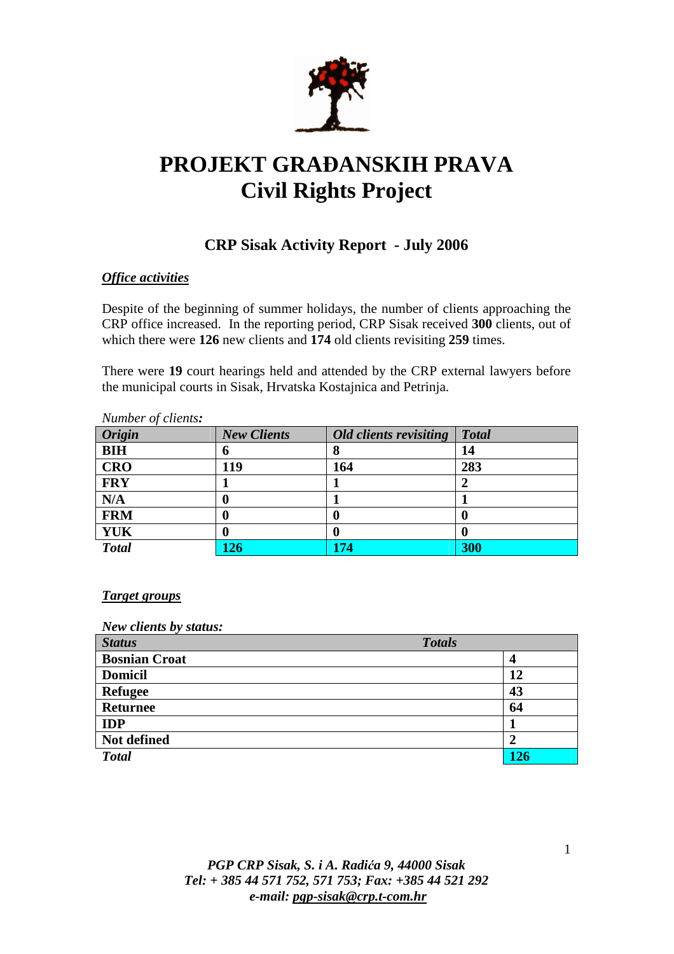

# **PROJEKT GRA**ð**ANSKIH PRAVA Civil Rights Project**

### **CRP Sisak Activity Report - July 2006**

#### *Office activities*

Despite of the beginning of summer holidays, the number of clients approaching the CRP office increased. In the reporting period, CRP Sisak received **300** clients, out of which there were **126** new clients and **174** old clients revisiting **259** times.

There were **19** court hearings held and attended by the CRP external lawyers before the municipal courts in Sisak, Hrvatska Kostajnica and Petrinja.

| <i>Number of clients:</i> |                    |                        |              |
|---------------------------|--------------------|------------------------|--------------|
| <b>Origin</b>             | <b>New Clients</b> | Old clients revisiting | <b>Total</b> |
| <b>BIH</b>                | v                  |                        | 14           |
| <b>CRO</b>                | 119                | 164                    | 283          |
| <b>FRY</b>                |                    |                        |              |
| N/A                       | v                  |                        |              |
| <b>FRM</b>                |                    |                        |              |
| <b>YUK</b>                |                    |                        |              |
| <b>Total</b>              | $\boldsymbol{126}$ | 174                    | 300          |

## *Number of clients:*

#### *Target groups*

#### *New clients by status:*

| <b>Status</b>        | <b>Totals</b> |     |
|----------------------|---------------|-----|
| <b>Bosnian Croat</b> | 4             |     |
| <b>Domicil</b>       |               | 12  |
| <b>Refugee</b>       |               | 43  |
| <b>Returnee</b>      |               | 64  |
| <b>IDP</b>           |               |     |
| Not defined          |               |     |
| <b>Total</b>         |               | 126 |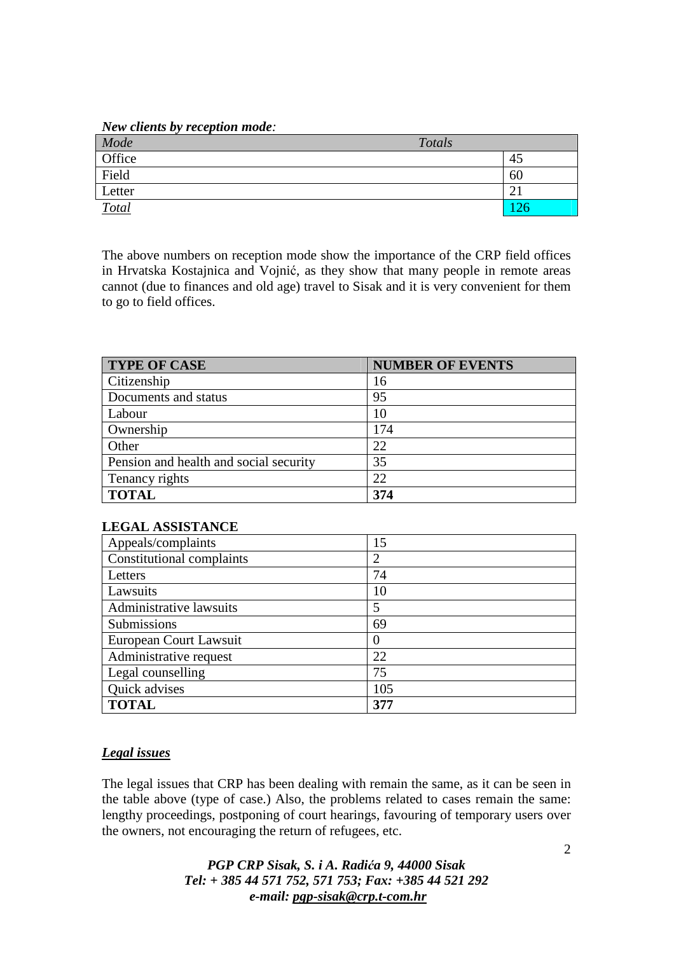*New clients by reception mode:* 

| Mode   | Totals |  |
|--------|--------|--|
| Office | 45     |  |
| Field  | 60     |  |
| Letter | ∠      |  |
| Total  |        |  |

The above numbers on reception mode show the importance of the CRP field offices in Hrvatska Kostajnica and Vojnić, as they show that many people in remote areas cannot (due to finances and old age) travel to Sisak and it is very convenient for them to go to field offices.

| <b>TYPE OF CASE</b>                    | <b>NUMBER OF EVENTS</b> |
|----------------------------------------|-------------------------|
| Citizenship                            | 16                      |
| Documents and status                   | 95                      |
| Labour                                 | 10                      |
| Ownership                              | 174                     |
| Other                                  | 22                      |
| Pension and health and social security | 35                      |
| Tenancy rights                         | 22                      |
| <b>TOTAL</b>                           | 374                     |

#### **LEGAL ASSISTANCE**

| Appeals/complaints        | 15  |
|---------------------------|-----|
| Constitutional complaints | 2   |
| Letters                   | 74  |
| Lawsuits                  | 10  |
| Administrative lawsuits   | 5   |
| Submissions               | 69  |
| European Court Lawsuit    |     |
| Administrative request    | 22  |
| Legal counselling         | 75  |
| Quick advises             | 105 |
| <b>TOTAL</b>              | 377 |

#### *Legal issues*

The legal issues that CRP has been dealing with remain the same, as it can be seen in the table above (type of case.) Also, the problems related to cases remain the same: lengthy proceedings, postponing of court hearings, favouring of temporary users over the owners, not encouraging the return of refugees, etc.

> *PGP CRP Sisak, S. i A. Radi*ć*a 9, 44000 Sisak Tel: + 385 44 571 752, 571 753; Fax: +385 44 521 292 e-mail: pgp-sisak@crp.t-com.hr*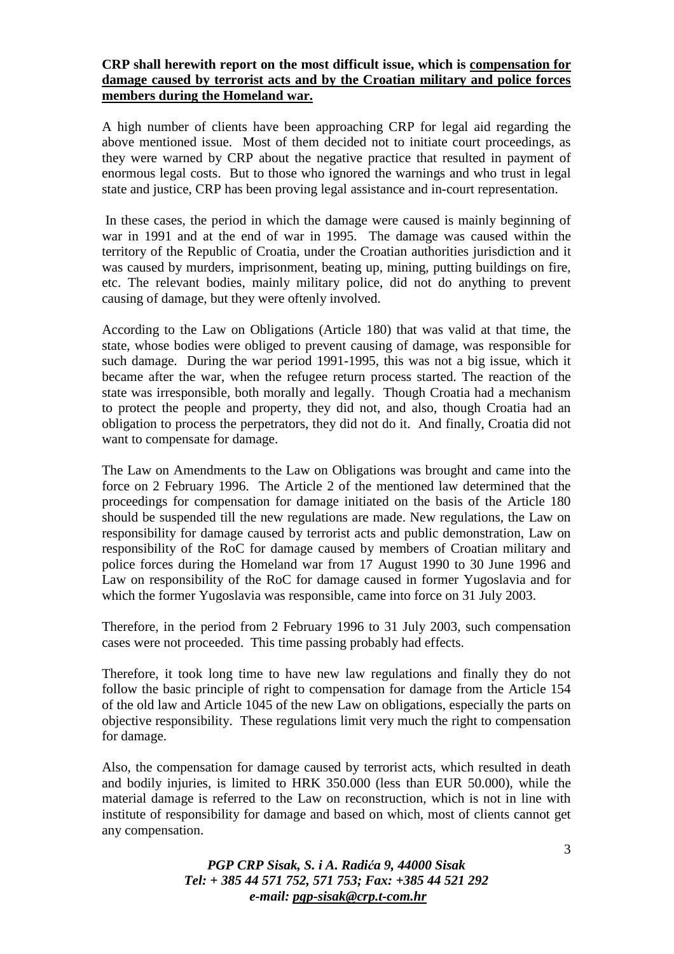#### **CRP shall herewith report on the most difficult issue, which is compensation for damage caused by terrorist acts and by the Croatian military and police forces members during the Homeland war.**

A high number of clients have been approaching CRP for legal aid regarding the above mentioned issue. Most of them decided not to initiate court proceedings, as they were warned by CRP about the negative practice that resulted in payment of enormous legal costs. But to those who ignored the warnings and who trust in legal state and justice, CRP has been proving legal assistance and in-court representation.

 In these cases, the period in which the damage were caused is mainly beginning of war in 1991 and at the end of war in 1995. The damage was caused within the territory of the Republic of Croatia, under the Croatian authorities jurisdiction and it was caused by murders, imprisonment, beating up, mining, putting buildings on fire, etc. The relevant bodies, mainly military police, did not do anything to prevent causing of damage, but they were oftenly involved.

According to the Law on Obligations (Article 180) that was valid at that time, the state, whose bodies were obliged to prevent causing of damage, was responsible for such damage. During the war period 1991-1995, this was not a big issue, which it became after the war, when the refugee return process started. The reaction of the state was irresponsible, both morally and legally. Though Croatia had a mechanism to protect the people and property, they did not, and also, though Croatia had an obligation to process the perpetrators, they did not do it. And finally, Croatia did not want to compensate for damage.

The Law on Amendments to the Law on Obligations was brought and came into the force on 2 February 1996. The Article 2 of the mentioned law determined that the proceedings for compensation for damage initiated on the basis of the Article 180 should be suspended till the new regulations are made. New regulations, the Law on responsibility for damage caused by terrorist acts and public demonstration, Law on responsibility of the RoC for damage caused by members of Croatian military and police forces during the Homeland war from 17 August 1990 to 30 June 1996 and Law on responsibility of the RoC for damage caused in former Yugoslavia and for which the former Yugoslavia was responsible, came into force on 31 July 2003.

Therefore, in the period from 2 February 1996 to 31 July 2003, such compensation cases were not proceeded. This time passing probably had effects.

Therefore, it took long time to have new law regulations and finally they do not follow the basic principle of right to compensation for damage from the Article 154 of the old law and Article 1045 of the new Law on obligations, especially the parts on objective responsibility. These regulations limit very much the right to compensation for damage.

Also, the compensation for damage caused by terrorist acts, which resulted in death and bodily injuries, is limited to HRK 350.000 (less than EUR 50.000), while the material damage is referred to the Law on reconstruction, which is not in line with institute of responsibility for damage and based on which, most of clients cannot get any compensation.

> *PGP CRP Sisak, S. i A. Radi*ć*a 9, 44000 Sisak Tel: + 385 44 571 752, 571 753; Fax: +385 44 521 292 e-mail: pgp-sisak@crp.t-com.hr*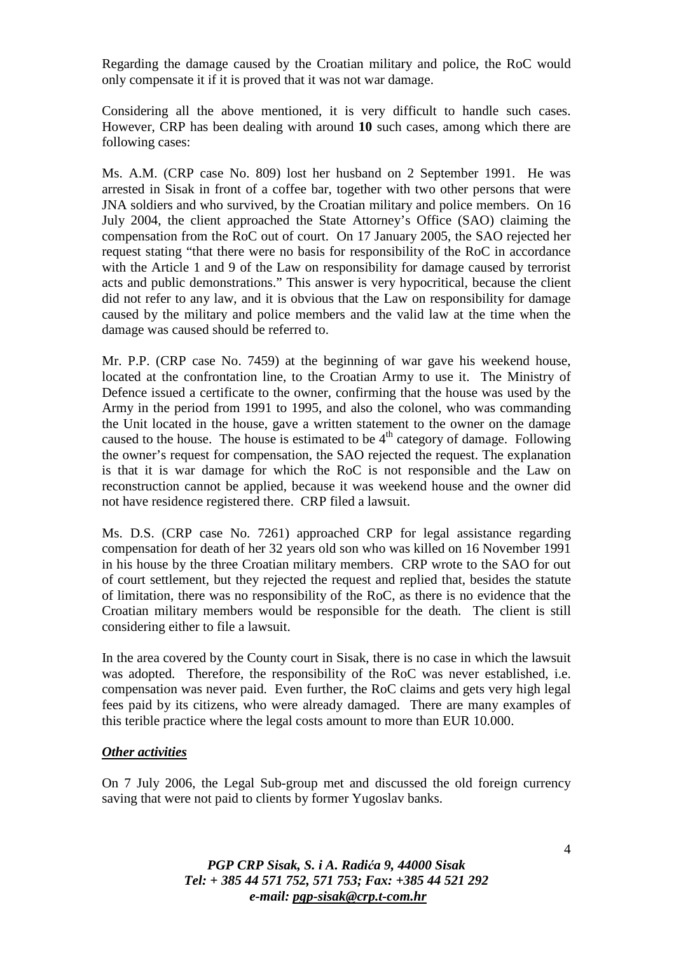Regarding the damage caused by the Croatian military and police, the RoC would only compensate it if it is proved that it was not war damage.

Considering all the above mentioned, it is very difficult to handle such cases. However, CRP has been dealing with around **10** such cases, among which there are following cases:

Ms. A.M. (CRP case No. 809) lost her husband on 2 September 1991. He was arrested in Sisak in front of a coffee bar, together with two other persons that were JNA soldiers and who survived, by the Croatian military and police members. On 16 July 2004, the client approached the State Attorney's Office (SAO) claiming the compensation from the RoC out of court. On 17 January 2005, the SAO rejected her request stating "that there were no basis for responsibility of the RoC in accordance with the Article 1 and 9 of the Law on responsibility for damage caused by terrorist acts and public demonstrations." This answer is very hypocritical, because the client did not refer to any law, and it is obvious that the Law on responsibility for damage caused by the military and police members and the valid law at the time when the damage was caused should be referred to.

Mr. P.P. (CRP case No. 7459) at the beginning of war gave his weekend house, located at the confrontation line, to the Croatian Army to use it. The Ministry of Defence issued a certificate to the owner, confirming that the house was used by the Army in the period from 1991 to 1995, and also the colonel, who was commanding the Unit located in the house, gave a written statement to the owner on the damage caused to the house. The house is estimated to be  $4<sup>th</sup>$  category of damage. Following the owner's request for compensation, the SAO rejected the request. The explanation is that it is war damage for which the RoC is not responsible and the Law on reconstruction cannot be applied, because it was weekend house and the owner did not have residence registered there. CRP filed a lawsuit.

Ms. D.S. (CRP case No. 7261) approached CRP for legal assistance regarding compensation for death of her 32 years old son who was killed on 16 November 1991 in his house by the three Croatian military members. CRP wrote to the SAO for out of court settlement, but they rejected the request and replied that, besides the statute of limitation, there was no responsibility of the RoC, as there is no evidence that the Croatian military members would be responsible for the death. The client is still considering either to file a lawsuit.

In the area covered by the County court in Sisak, there is no case in which the lawsuit was adopted. Therefore, the responsibility of the RoC was never established, i.e. compensation was never paid. Even further, the RoC claims and gets very high legal fees paid by its citizens, who were already damaged. There are many examples of this terible practice where the legal costs amount to more than EUR 10.000.

#### *Other activities*

On 7 July 2006, the Legal Sub-group met and discussed the old foreign currency saving that were not paid to clients by former Yugoslav banks.

> *PGP CRP Sisak, S. i A. Radi*ć*a 9, 44000 Sisak Tel: + 385 44 571 752, 571 753; Fax: +385 44 521 292 e-mail: pgp-sisak@crp.t-com.hr*